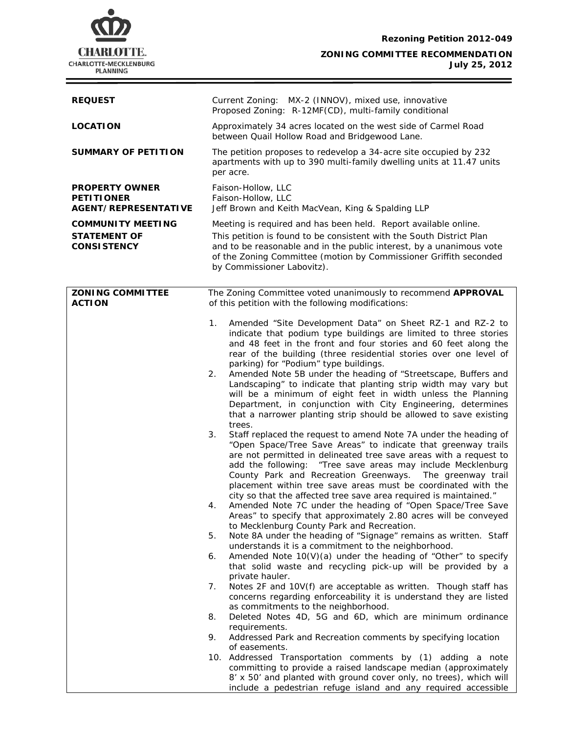

**July 25, 2012**

| <b>REQUEST</b>                                                        | Current Zoning: MX-2 (INNOV), mixed use, innovative<br>Proposed Zoning: R-12MF(CD), multi-family conditional                                                                                                                                                                                                                                                                                                                                                                                                                                                                                                                                                                                                                                                                                                                                                                                                                                                                                                                                                                                                                                                                                                                                                                                                                                          |  |  |
|-----------------------------------------------------------------------|-------------------------------------------------------------------------------------------------------------------------------------------------------------------------------------------------------------------------------------------------------------------------------------------------------------------------------------------------------------------------------------------------------------------------------------------------------------------------------------------------------------------------------------------------------------------------------------------------------------------------------------------------------------------------------------------------------------------------------------------------------------------------------------------------------------------------------------------------------------------------------------------------------------------------------------------------------------------------------------------------------------------------------------------------------------------------------------------------------------------------------------------------------------------------------------------------------------------------------------------------------------------------------------------------------------------------------------------------------|--|--|
| <b>LOCATION</b>                                                       | Approximately 34 acres located on the west side of Carmel Road<br>between Quail Hollow Road and Bridgewood Lane.                                                                                                                                                                                                                                                                                                                                                                                                                                                                                                                                                                                                                                                                                                                                                                                                                                                                                                                                                                                                                                                                                                                                                                                                                                      |  |  |
| <b>SUMMARY OF PETITION</b>                                            | The petition proposes to redevelop a 34-acre site occupied by 232<br>apartments with up to 390 multi-family dwelling units at 11.47 units<br>per acre.                                                                                                                                                                                                                                                                                                                                                                                                                                                                                                                                                                                                                                                                                                                                                                                                                                                                                                                                                                                                                                                                                                                                                                                                |  |  |
| <b>PROPERTY OWNER</b><br><b>PETITIONER</b><br>AGENT/REPRESENTATIVE    | Faison-Hollow, LLC<br>Faison-Hollow, LLC<br>Jeff Brown and Keith MacVean, King & Spalding LLP                                                                                                                                                                                                                                                                                                                                                                                                                                                                                                                                                                                                                                                                                                                                                                                                                                                                                                                                                                                                                                                                                                                                                                                                                                                         |  |  |
| <b>COMMUNITY MEETING</b><br><b>STATEMENT OF</b><br><b>CONSISTENCY</b> | Meeting is required and has been held. Report available online.<br>This petition is found to be consistent with the South District Plan<br>and to be reasonable and in the public interest, by a unanimous vote<br>of the Zoning Committee (motion by Commissioner Griffith seconded<br>by Commissioner Labovitz).                                                                                                                                                                                                                                                                                                                                                                                                                                                                                                                                                                                                                                                                                                                                                                                                                                                                                                                                                                                                                                    |  |  |
| <b>ZONING COMMITTEE</b><br><b>ACTION</b>                              | The Zoning Committee voted unanimously to recommend APPROVAL<br>of this petition with the following modifications:                                                                                                                                                                                                                                                                                                                                                                                                                                                                                                                                                                                                                                                                                                                                                                                                                                                                                                                                                                                                                                                                                                                                                                                                                                    |  |  |
|                                                                       | Amended "Site Development Data" on Sheet RZ-1 and RZ-2 to<br>1.<br>indicate that podium type buildings are limited to three stories<br>and 48 feet in the front and four stories and 60 feet along the<br>rear of the building (three residential stories over one level of<br>parking) for "Podium" type buildings.<br>Amended Note 5B under the heading of "Streetscape, Buffers and<br>2.<br>Landscaping" to indicate that planting strip width may vary but<br>will be a minimum of eight feet in width unless the Planning<br>Department, in conjunction with City Engineering, determines<br>that a narrower planting strip should be allowed to save existing<br>trees.<br>3.<br>Staff replaced the request to amend Note 7A under the heading of<br>"Open Space/Tree Save Areas" to indicate that greenway trails<br>are not permitted in delineated tree save areas with a request to<br>add the following: "Tree save areas may include Mecklenburg<br>County Park and Recreation Greenways. The greenway trail<br>placement within tree save areas must be coordinated with the<br>city so that the affected tree save area required is maintained."<br>Amended Note 7C under the heading of "Open Space/Tree Save<br>4.<br>Areas" to specify that approximately 2.80 acres will be conveyed<br>to Mecklenburg County Park and Recreation. |  |  |
|                                                                       | Note 8A under the heading of "Signage" remains as written. Staff<br>5.<br>understands it is a commitment to the neighborhood.<br>Amended Note $10(V)(a)$ under the heading of "Other" to specify<br>6.<br>that solid waste and recycling pick-up will be provided by a                                                                                                                                                                                                                                                                                                                                                                                                                                                                                                                                                                                                                                                                                                                                                                                                                                                                                                                                                                                                                                                                                |  |  |
|                                                                       | private hauler.<br>Notes 2F and 10V(f) are acceptable as written. Though staff has<br>7.<br>concerns regarding enforceability it is understand they are listed<br>as commitments to the neighborhood.                                                                                                                                                                                                                                                                                                                                                                                                                                                                                                                                                                                                                                                                                                                                                                                                                                                                                                                                                                                                                                                                                                                                                 |  |  |
|                                                                       | Deleted Notes 4D, 5G and 6D, which are minimum ordinance<br>8.<br>requirements.                                                                                                                                                                                                                                                                                                                                                                                                                                                                                                                                                                                                                                                                                                                                                                                                                                                                                                                                                                                                                                                                                                                                                                                                                                                                       |  |  |
|                                                                       | Addressed Park and Recreation comments by specifying location<br>9.<br>of easements.                                                                                                                                                                                                                                                                                                                                                                                                                                                                                                                                                                                                                                                                                                                                                                                                                                                                                                                                                                                                                                                                                                                                                                                                                                                                  |  |  |
|                                                                       | 10. Addressed Transportation comments by (1) adding a note<br>committing to provide a raised landscape median (approximately<br>8' x 50' and planted with ground cover only, no trees), which will<br>include a pedestrian refuge island and any required accessible                                                                                                                                                                                                                                                                                                                                                                                                                                                                                                                                                                                                                                                                                                                                                                                                                                                                                                                                                                                                                                                                                  |  |  |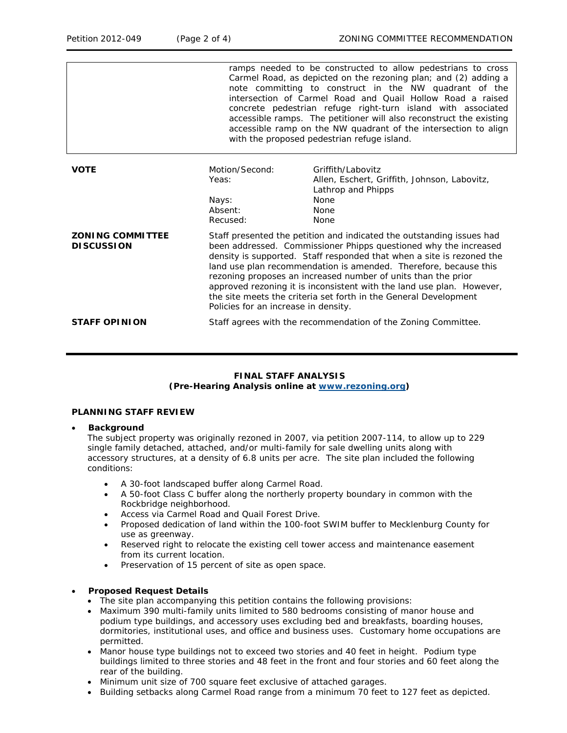|                                              | ramps needed to be constructed to allow pedestrians to cross<br>Carmel Road, as depicted on the rezoning plan; and (2) adding a<br>note committing to construct in the NW quadrant of the<br>intersection of Carmel Road and Quail Hollow Road a raised<br>concrete pedestrian refuge right-turn island with associated<br>accessible ramps. The petitioner will also reconstruct the existing<br>accessible ramp on the NW quadrant of the intersection to align<br>with the proposed pedestrian refuge island.                             |                                                                                                                        |  |
|----------------------------------------------|----------------------------------------------------------------------------------------------------------------------------------------------------------------------------------------------------------------------------------------------------------------------------------------------------------------------------------------------------------------------------------------------------------------------------------------------------------------------------------------------------------------------------------------------|------------------------------------------------------------------------------------------------------------------------|--|
| <b>VOTE</b>                                  | Motion/Second:<br>Yeas:<br>Nays:<br>Absent:<br>Recused:                                                                                                                                                                                                                                                                                                                                                                                                                                                                                      | Griffith/Labovitz<br>Allen, Eschert, Griffith, Johnson, Labovitz,<br>Lathrop and Phipps<br>None<br><b>None</b><br>None |  |
| <b>ZONING COMMITTEE</b><br><b>DISCUSSION</b> | Staff presented the petition and indicated the outstanding issues had<br>been addressed. Commissioner Phipps questioned why the increased<br>density is supported. Staff responded that when a site is rezoned the<br>land use plan recommendation is amended. Therefore, because this<br>rezoning proposes an increased number of units than the prior<br>approved rezoning it is inconsistent with the land use plan. However,<br>the site meets the criteria set forth in the General Development<br>Policies for an increase in density. |                                                                                                                        |  |
| <b>STAFF OPINION</b>                         |                                                                                                                                                                                                                                                                                                                                                                                                                                                                                                                                              | Staff agrees with the recommendation of the Zoning Committee.                                                          |  |

# **FINAL STAFF ANALYSIS (Pre-Hearing Analysis online at [www.rezoning.org\)](http://www.rezoning.org/)**

## **PLANNING STAFF REVIEW**

### • **Background**

The subject property was originally rezoned in 2007, via petition 2007-114, to allow up to 229 single family detached, attached, and/or multi-family for sale dwelling units along with accessory structures, at a density of 6.8 units per acre. The site plan included the following conditions:

- A 30-foot landscaped buffer along Carmel Road.
- A 50-foot Class C buffer along the northerly property boundary in common with the Rockbridge neighborhood.
- Access via Carmel Road and Quail Forest Drive.
- Proposed dedication of land within the 100-foot SWIM buffer to Mecklenburg County for use as greenway.
- Reserved right to relocate the existing cell tower access and maintenance easement from its current location.
- Preservation of 15 percent of site as open space.

### • **Proposed Request Details**

- The site plan accompanying this petition contains the following provisions:
- Maximum 390 multi-family units limited to 580 bedrooms consisting of manor house and podium type buildings, and accessory uses excluding bed and breakfasts, boarding houses, dormitories, institutional uses, and office and business uses. Customary home occupations are permitted.
- Manor house type buildings not to exceed two stories and 40 feet in height. Podium type buildings limited to three stories and 48 feet in the front and four stories and 60 feet along the rear of the building.
- Minimum unit size of 700 square feet exclusive of attached garages.
- Building setbacks along Carmel Road range from a minimum 70 feet to 127 feet as depicted.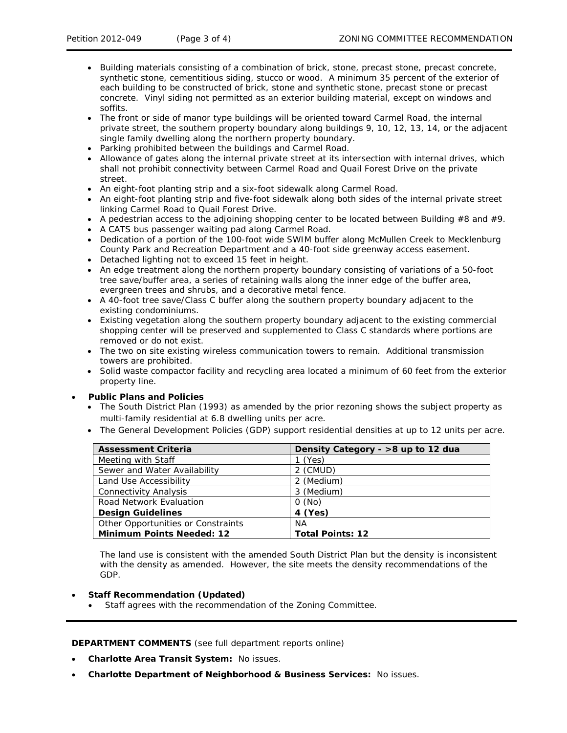- Building materials consisting of a combination of brick, stone, precast stone, precast concrete, synthetic stone, cementitious siding, stucco or wood. A minimum 35 percent of the exterior of each building to be constructed of brick, stone and synthetic stone, precast stone or precast concrete. Vinyl siding not permitted as an exterior building material, except on windows and soffits.
- The front or side of manor type buildings will be oriented toward Carmel Road, the internal private street, the southern property boundary along buildings 9, 10, 12, 13, 14, or the adjacent single family dwelling along the northern property boundary.
- Parking prohibited between the buildings and Carmel Road.
- Allowance of gates along the internal private street at its intersection with internal drives, which shall not prohibit connectivity between Carmel Road and Quail Forest Drive on the private street.
- An eight-foot planting strip and a six-foot sidewalk along Carmel Road.
- An eight-foot planting strip and five-foot sidewalk along both sides of the internal private street linking Carmel Road to Quail Forest Drive.
- A pedestrian access to the adjoining shopping center to be located between Building  $#8$  and  $#9$ .
- A CATS bus passenger waiting pad along Carmel Road.
- Dedication of a portion of the 100-foot wide SWIM buffer along McMullen Creek to Mecklenburg County Park and Recreation Department and a 40-foot side greenway access easement.
- Detached lighting not to exceed 15 feet in height.
- An edge treatment along the northern property boundary consisting of variations of a 50-foot tree save/buffer area, a series of retaining walls along the inner edge of the buffer area, evergreen trees and shrubs, and a decorative metal fence.
- A 40-foot tree save/Class C buffer along the southern property boundary adjacent to the existing condominiums.
- Existing vegetation along the southern property boundary adjacent to the existing commercial shopping center will be preserved and supplemented to Class C standards where portions are removed or do not exist.
- The two on site existing wireless communication towers to remain. Additional transmission towers are prohibited.
- Solid waste compactor facility and recycling area located a minimum of 60 feet from the exterior property line.

# • **Public Plans and Policies**

- The *South District* Plan (1993) as amended by the prior rezoning shows the subject property as multi-family residential at 6.8 dwelling units per acre.
- The *General Development Policies* (GDP) support residential densities at up to 12 units per acre.

| <b>Assessment Criteria</b>         | Density Category - >8 up to 12 dua |
|------------------------------------|------------------------------------|
| Meeting with Staff                 | l (Yes)                            |
| Sewer and Water Availability       | 2 (CMUD)                           |
| Land Use Accessibility             | 2 (Medium)                         |
| <b>Connectivity Analysis</b>       | 3 (Medium)                         |
| Road Network Evaluation            | 0(No)                              |
| <b>Design Guidelines</b>           | 4 (Yes)                            |
| Other Opportunities or Constraints | NA.                                |
| <b>Minimum Points Needed: 12</b>   | <b>Total Points: 12</b>            |

The land use is consistent with the amended *South District Plan* but the density is inconsistent with the density as amended. However, the site meets the density recommendations of the GDP.

# • **Staff Recommendation (Updated)**

Staff agrees with the recommendation of the Zoning Committee.

**DEPARTMENT COMMENTS** (see full department reports online)

- **Charlotte Area Transit System:** No issues.
- **Charlotte Department of Neighborhood & Business Services:** No issues.